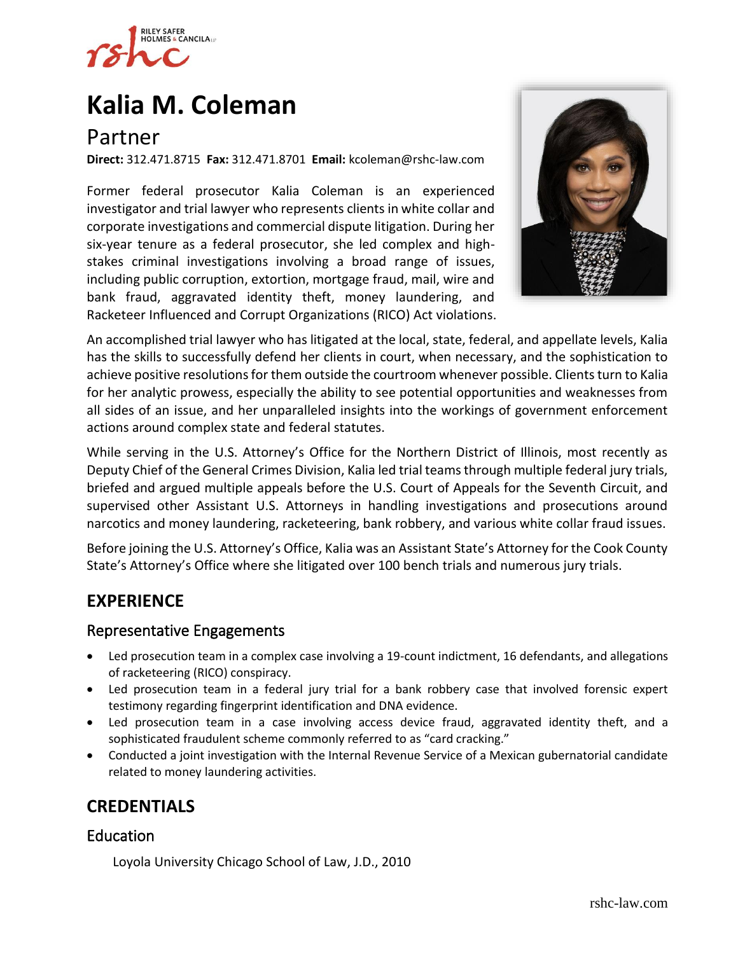

# **[Kalia M. Coleman](https://www.rshc-law.com/attorneys/attorney/kalia-m.-coleman)**

# Partner

**Direct:** 312.471.8715 **Fax:** 312.471.8701 **Email:** kcoleman@rshc-law.com

Former federal prosecutor Kalia Coleman is an experienced investigator and trial lawyer who represents clients in white collar and corporate investigations and commercial dispute litigation. During her six-year tenure as a federal prosecutor, she led complex and highstakes criminal investigations involving a broad range of issues, including public corruption, extortion, mortgage fraud, mail, wire and bank fraud, aggravated identity theft, money laundering, and Racketeer Influenced and Corrupt Organizations (RICO) Act violations.



An accomplished trial lawyer who has litigated at the local, state, federal, and appellate levels, Kalia has the skills to successfully defend her clients in court, when necessary, and the sophistication to achieve positive resolutions for them outside the courtroom whenever possible. Clients turn to Kalia for her analytic prowess, especially the ability to see potential opportunities and weaknesses from all sides of an issue, and her unparalleled insights into the workings of government enforcement actions around complex state and federal statutes.

While serving in the U.S. Attorney's Office for the Northern District of Illinois, most recently as Deputy Chief of the General Crimes Division, Kalia led trial teams through multiple federal jury trials, briefed and argued multiple appeals before the U.S. Court of Appeals for the Seventh Circuit, and supervised other Assistant U.S. Attorneys in handling investigations and prosecutions around narcotics and money laundering, racketeering, bank robbery, and various white collar fraud issues.

Before joining the U.S. Attorney's Office, Kalia was an Assistant State's Attorney for the Cook County State's Attorney's Office where she litigated over 100 bench trials and numerous jury trials.

## **EXPERIENCE**

#### Representative Engagements

- Led prosecution team in a complex case involving a 19-count indictment, 16 defendants, and allegations of racketeering (RICO) conspiracy.
- Led prosecution team in a federal jury trial for a bank robbery case that involved forensic expert testimony regarding fingerprint identification and DNA evidence.
- Led prosecution team in a case involving access device fraud, aggravated identity theft, and a sophisticated fraudulent scheme commonly referred to as "card cracking."
- Conducted a joint investigation with the Internal Revenue Service of a Mexican gubernatorial candidate related to money laundering activities.

# **CREDENTIALS**

## Education

Loyola University Chicago School of Law, J.D., 2010